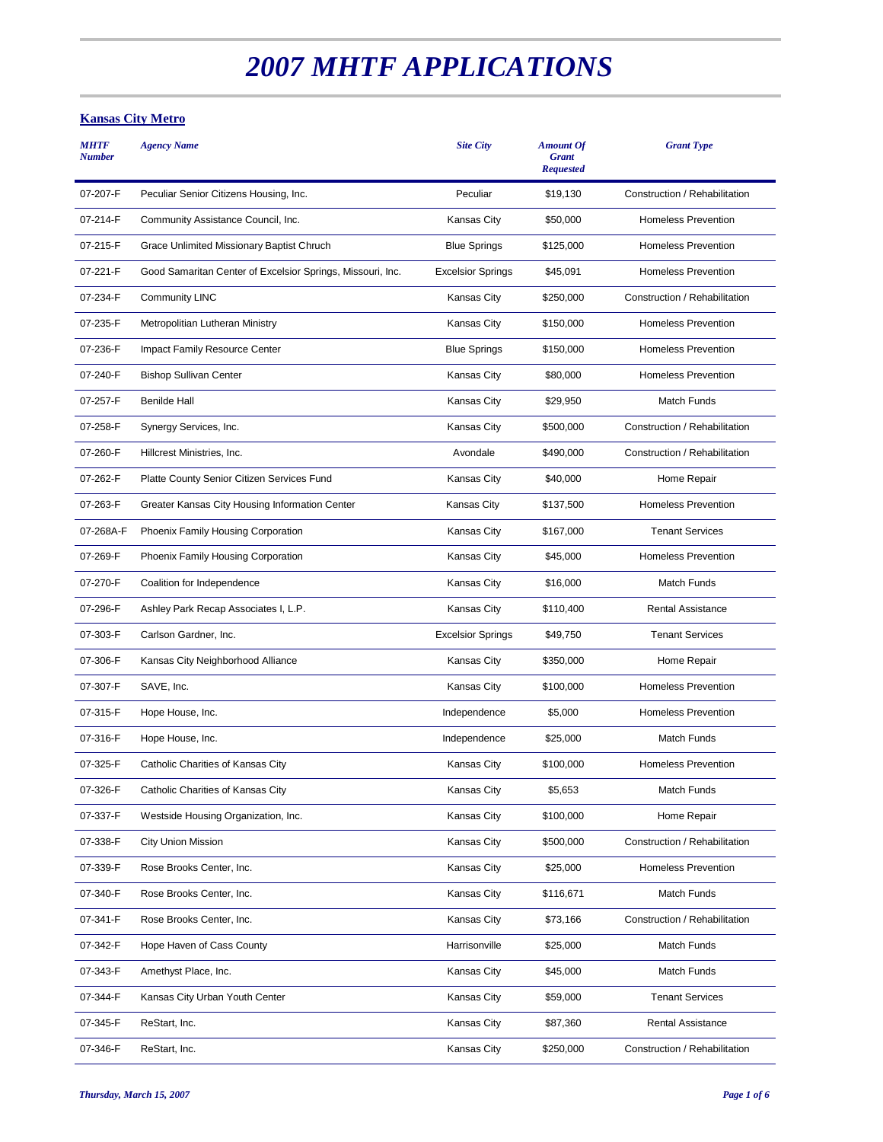# *2007 MHTF APPLICATIONS*

# **Kansas City Metro**

| <b>MHTF</b><br><b>Number</b> | <b>Agency Name</b>                                         | <b>Site City</b>         | <b>Amount Of</b><br><b>Grant</b><br><b>Requested</b> | <b>Grant Type</b>             |
|------------------------------|------------------------------------------------------------|--------------------------|------------------------------------------------------|-------------------------------|
| 07-207-F                     | Peculiar Senior Citizens Housing, Inc.                     | Peculiar                 | \$19,130                                             | Construction / Rehabilitation |
| 07-214-F                     | Community Assistance Council, Inc.                         | <b>Kansas City</b>       | \$50,000                                             | <b>Homeless Prevention</b>    |
| 07-215-F                     | Grace Unlimited Missionary Baptist Chruch                  | <b>Blue Springs</b>      | \$125,000                                            | <b>Homeless Prevention</b>    |
| 07-221-F                     | Good Samaritan Center of Excelsior Springs, Missouri, Inc. | <b>Excelsior Springs</b> | \$45,091                                             | <b>Homeless Prevention</b>    |
| 07-234-F                     | <b>Community LINC</b>                                      | <b>Kansas City</b>       | \$250,000                                            | Construction / Rehabilitation |
| 07-235-F                     | Metropolitian Lutheran Ministry                            | Kansas City              | \$150,000                                            | <b>Homeless Prevention</b>    |
| 07-236-F                     | Impact Family Resource Center                              | <b>Blue Springs</b>      | \$150,000                                            | <b>Homeless Prevention</b>    |
| 07-240-F                     | <b>Bishop Sullivan Center</b>                              | <b>Kansas City</b>       | \$80,000                                             | <b>Homeless Prevention</b>    |
| 07-257-F                     | <b>Benilde Hall</b>                                        | <b>Kansas City</b>       | \$29,950                                             | Match Funds                   |
| 07-258-F                     | Synergy Services, Inc.                                     | <b>Kansas City</b>       | \$500,000                                            | Construction / Rehabilitation |
| 07-260-F                     | Hillcrest Ministries, Inc.                                 | Avondale                 | \$490,000                                            | Construction / Rehabilitation |
| 07-262-F                     | Platte County Senior Citizen Services Fund                 | Kansas City              | \$40,000                                             | Home Repair                   |
| 07-263-F                     | Greater Kansas City Housing Information Center             | Kansas City              | \$137,500                                            | <b>Homeless Prevention</b>    |
| 07-268A-F                    | Phoenix Family Housing Corporation                         | Kansas City              | \$167,000                                            | <b>Tenant Services</b>        |
| 07-269-F                     | Phoenix Family Housing Corporation                         | <b>Kansas City</b>       | \$45,000                                             | <b>Homeless Prevention</b>    |
| 07-270-F                     | Coalition for Independence                                 | Kansas City              | \$16,000                                             | Match Funds                   |
| 07-296-F                     | Ashley Park Recap Associates I, L.P.                       | <b>Kansas City</b>       | \$110,400                                            | <b>Rental Assistance</b>      |
| 07-303-F                     | Carlson Gardner, Inc.                                      | <b>Excelsior Springs</b> | \$49,750                                             | <b>Tenant Services</b>        |
| 07-306-F                     | Kansas City Neighborhood Alliance                          | Kansas City              | \$350,000                                            | Home Repair                   |
| 07-307-F                     | SAVE, Inc.                                                 | Kansas City              | \$100,000                                            | <b>Homeless Prevention</b>    |
| 07-315-F                     | Hope House, Inc.                                           | Independence             | \$5,000                                              | <b>Homeless Prevention</b>    |
| 07-316-F                     | Hope House, Inc.                                           | Independence             | \$25,000                                             | Match Funds                   |
| 07-325-F                     | Catholic Charities of Kansas City                          | Kansas City              | \$100,000                                            | <b>Homeless Prevention</b>    |
| 07-326-F                     | Catholic Charities of Kansas City                          | Kansas City              | \$5,653                                              | Match Funds                   |
| 07-337-F                     | Westside Housing Organization, Inc.                        | Kansas City              | \$100,000                                            | Home Repair                   |
| 07-338-F                     | City Union Mission                                         | Kansas City              | \$500,000                                            | Construction / Rehabilitation |
| 07-339-F                     | Rose Brooks Center, Inc.                                   | Kansas City              | \$25,000                                             | <b>Homeless Prevention</b>    |
| 07-340-F                     | Rose Brooks Center, Inc.                                   | Kansas City              | \$116,671                                            | Match Funds                   |
| 07-341-F                     | Rose Brooks Center, Inc.                                   | Kansas City              | \$73,166                                             | Construction / Rehabilitation |
| 07-342-F                     | Hope Haven of Cass County                                  | Harrisonville            | \$25,000                                             | Match Funds                   |
| 07-343-F                     | Amethyst Place, Inc.                                       | Kansas City              | \$45,000                                             | Match Funds                   |
| 07-344-F                     | Kansas City Urban Youth Center                             | Kansas City              | \$59,000                                             | <b>Tenant Services</b>        |
| 07-345-F                     | ReStart, Inc.                                              | Kansas City              | \$87,360                                             | Rental Assistance             |
| 07-346-F                     | ReStart, Inc.                                              | <b>Kansas City</b>       | \$250,000                                            | Construction / Rehabilitation |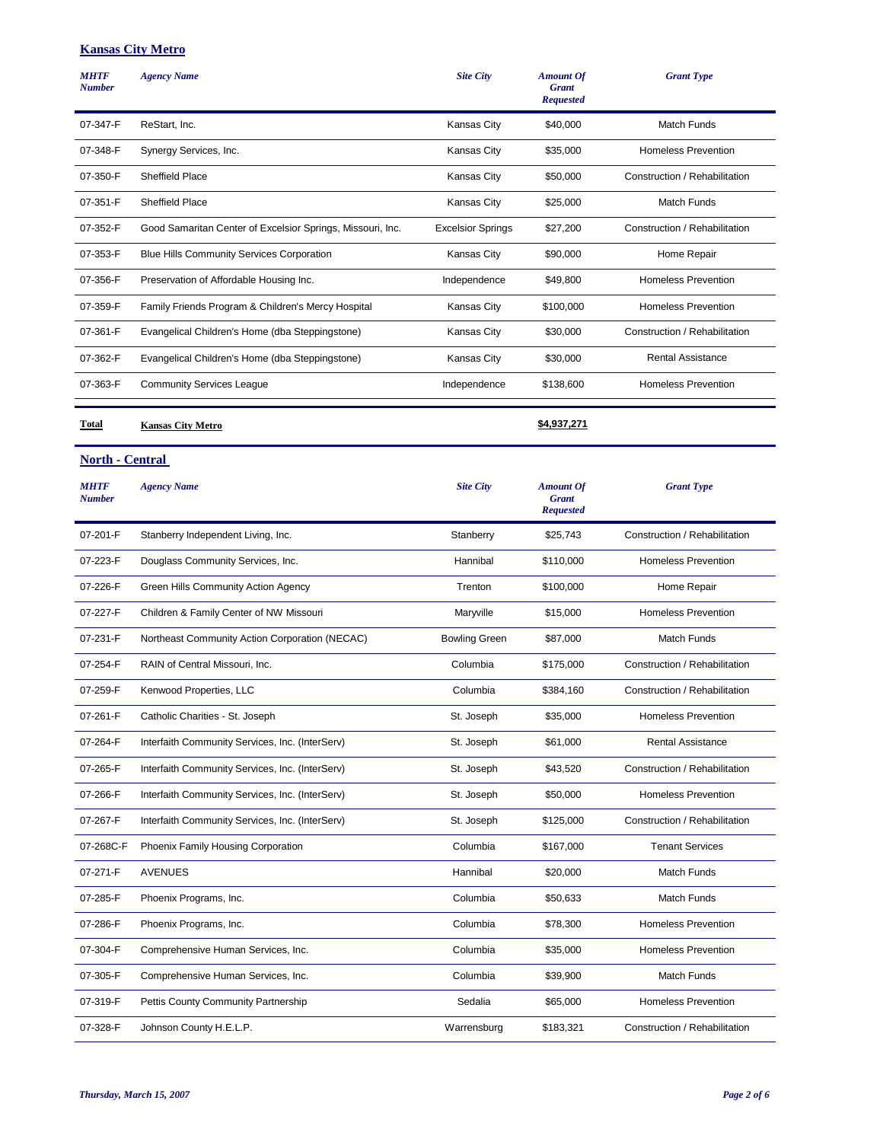## **Kansas City Metro**

| <b>MHTF</b><br><b>Number</b> | <b>Agency Name</b>                                         | <b>Site City</b>         | <b>Amount Of</b><br><b>Grant</b><br><b>Requested</b> | <b>Grant Type</b>             |
|------------------------------|------------------------------------------------------------|--------------------------|------------------------------------------------------|-------------------------------|
| 07-347-F                     | ReStart, Inc.                                              | Kansas City              | \$40,000                                             | <b>Match Funds</b>            |
| 07-348-F                     | Synergy Services, Inc.                                     | Kansas City              | \$35,000                                             | <b>Homeless Prevention</b>    |
| 07-350-F                     | <b>Sheffield Place</b>                                     | Kansas City              | \$50,000                                             | Construction / Rehabilitation |
| 07-351-F                     | Sheffield Place                                            | Kansas City              | \$25,000                                             | Match Funds                   |
| 07-352-F                     | Good Samaritan Center of Excelsior Springs, Missouri, Inc. | <b>Excelsior Springs</b> | \$27,200                                             | Construction / Rehabilitation |
| 07-353-F                     | Blue Hills Community Services Corporation                  | Kansas City              | \$90,000                                             | Home Repair                   |
| 07-356-F                     | Preservation of Affordable Housing Inc.                    | Independence             | \$49,800                                             | <b>Homeless Prevention</b>    |
| 07-359-F                     | Family Friends Program & Children's Mercy Hospital         | Kansas City              | \$100,000                                            | <b>Homeless Prevention</b>    |
| 07-361-F                     | Evangelical Children's Home (dba Steppingstone)            | Kansas City              | \$30,000                                             | Construction / Rehabilitation |
| 07-362-F                     | Evangelical Children's Home (dba Steppingstone)            | Kansas City              | \$30,000                                             | <b>Rental Assistance</b>      |
| 07-363-F                     | <b>Community Services League</b>                           | Independence             | \$138,600                                            | <b>Homeless Prevention</b>    |
| Total                        | <b>Kansas City Metro</b>                                   |                          | \$4,937,271                                          |                               |
| <b>North - Central</b>       |                                                            |                          |                                                      |                               |
| <b>MHTF</b><br><b>Number</b> | <b>Agency Name</b>                                         | <b>Site City</b>         | <b>Amount Of</b><br><b>Grant</b><br><b>Requested</b> | <b>Grant Type</b>             |
| 07-201-F                     | Stanberry Independent Living, Inc.                         | Stanberry                | \$25,743                                             | Construction / Rehabilitation |
| 07-223-F                     | Douglass Community Services, Inc.                          | Hannibal                 | \$110,000                                            | <b>Homeless Prevention</b>    |
| 07-226-F                     | Green Hills Community Action Agency                        | Trenton                  | \$100,000                                            | Home Repair                   |
| 07-227-F                     | Children & Family Center of NW Missouri                    | Maryville                | \$15,000                                             | <b>Homeless Prevention</b>    |
| 07-231-F                     | Northeast Community Action Corporation (NECAC)             | <b>Bowling Green</b>     | \$87,000                                             | Match Funds                   |
| 07-254-F                     | RAIN of Central Missouri, Inc.                             | Columbia                 | \$175,000                                            | Construction / Rehabilitation |
| 07-259-F                     | Kenwood Properties, LLC                                    | Columbia                 | \$384,160                                            | Construction / Rehabilitation |
| 07-261-F                     | Catholic Charities - St. Joseph                            | St. Joseph               | \$35,000                                             | <b>Homeless Prevention</b>    |
| 07-264-F                     | Interfaith Community Services, Inc. (InterServ)            | St. Joseph               | \$61,000                                             | Rental Assistance             |
| 07-265-F                     | Interfaith Community Services, Inc. (InterServ)            | St. Joseph               | \$43,520                                             | Construction / Rehabilitation |
| 07-266-F                     | Interfaith Community Services, Inc. (InterServ)            | St. Joseph               | \$50,000                                             | <b>Homeless Prevention</b>    |
| 07-267-F                     | Interfaith Community Services, Inc. (InterServ)            | St. Joseph               | \$125,000                                            | Construction / Rehabilitation |
| 07-268C-F                    | Phoenix Family Housing Corporation                         | Columbia                 | \$167,000                                            | <b>Tenant Services</b>        |
| 07-271-F                     | <b>AVENUES</b>                                             | Hannibal                 | \$20,000                                             | Match Funds                   |
| 07-285-F                     | Phoenix Programs, Inc.                                     | Columbia                 | \$50,633                                             | Match Funds                   |
| 07-286-F                     | Phoenix Programs, Inc.                                     | Columbia                 | \$78,300                                             | <b>Homeless Prevention</b>    |
| 07-304-F                     | Comprehensive Human Services, Inc.                         | Columbia                 | \$35,000                                             | <b>Homeless Prevention</b>    |
| 07-305-F                     | Comprehensive Human Services, Inc.                         | Columbia                 | \$39,900                                             | Match Funds                   |
| 07-319-F                     | Pettis County Community Partnership                        | Sedalia                  | \$65,000                                             | <b>Homeless Prevention</b>    |

07-328-F Johnson County H.E.L.P. **Warrensburg \$183,321** Construction / Rehabilitation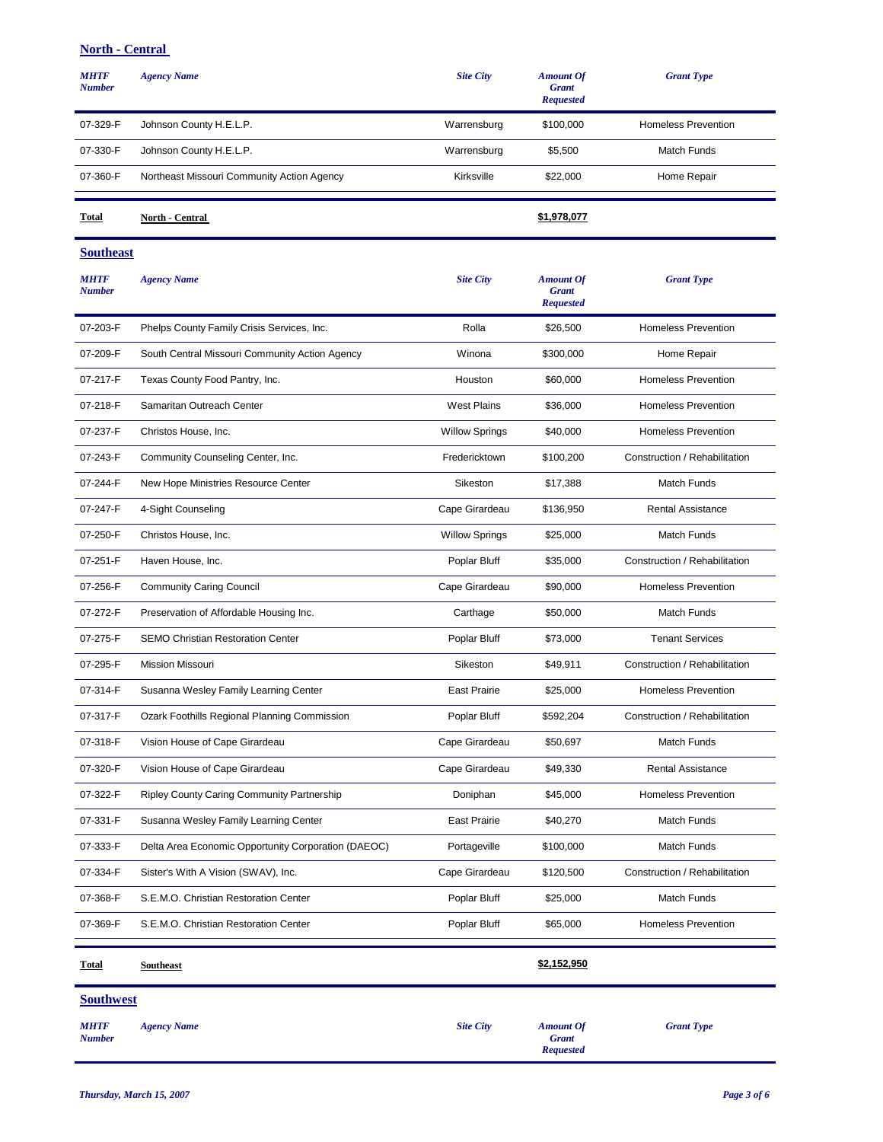## **North - Central**

| <b>MHTF</b><br><b>Number</b> | <b>Agency Name</b>                                  | <b>Site City</b>      | <b>Amount Of</b><br><b>Grant</b><br><b>Requested</b> | <b>Grant Type</b>             |
|------------------------------|-----------------------------------------------------|-----------------------|------------------------------------------------------|-------------------------------|
| 07-329-F                     | Johnson County H.E.L.P.                             | Warrensburg           | \$100,000                                            | <b>Homeless Prevention</b>    |
| 07-330-F                     | Johnson County H.E.L.P.                             | Warrensburg           | \$5,500                                              | Match Funds                   |
| 07-360-F                     | Northeast Missouri Community Action Agency          | Kirksville            | \$22,000                                             | Home Repair                   |
| Total                        | <b>North - Central</b>                              |                       | \$1,978,077                                          |                               |
| <b>Southeast</b>             |                                                     |                       |                                                      |                               |
| <b>MHTF</b><br><b>Number</b> | <b>Agency Name</b>                                  | <b>Site City</b>      | <b>Amount Of</b><br><b>Grant</b><br><b>Requested</b> | <b>Grant Type</b>             |
| 07-203-F                     | Phelps County Family Crisis Services, Inc.          | Rolla                 | \$26,500                                             | <b>Homeless Prevention</b>    |
| 07-209-F                     | South Central Missouri Community Action Agency      | Winona                | \$300,000                                            | Home Repair                   |
| 07-217-F                     | Texas County Food Pantry, Inc.                      | Houston               | \$60,000                                             | <b>Homeless Prevention</b>    |
| 07-218-F                     | Samaritan Outreach Center                           | <b>West Plains</b>    | \$36,000                                             | <b>Homeless Prevention</b>    |
| 07-237-F                     | Christos House, Inc.                                | <b>Willow Springs</b> | \$40,000                                             | <b>Homeless Prevention</b>    |
| 07-243-F                     | Community Counseling Center, Inc.                   | Fredericktown         | \$100,200                                            | Construction / Rehabilitation |
| 07-244-F                     | New Hope Ministries Resource Center                 | Sikeston              | \$17,388                                             | Match Funds                   |
| 07-247-F                     | 4-Sight Counseling                                  | Cape Girardeau        | \$136,950                                            | <b>Rental Assistance</b>      |
| 07-250-F                     | Christos House, Inc.                                | <b>Willow Springs</b> | \$25,000                                             | Match Funds                   |
| 07-251-F                     | Haven House, Inc.                                   | Poplar Bluff          | \$35,000                                             | Construction / Rehabilitation |
| 07-256-F                     | <b>Community Caring Council</b>                     | Cape Girardeau        | \$90,000                                             | <b>Homeless Prevention</b>    |
| 07-272-F                     | Preservation of Affordable Housing Inc.             | Carthage              | \$50,000                                             | Match Funds                   |
| 07-275-F                     | <b>SEMO Christian Restoration Center</b>            | Poplar Bluff          | \$73,000                                             | <b>Tenant Services</b>        |
| 07-295-F                     | Mission Missouri                                    | Sikeston              | \$49,911                                             | Construction / Rehabilitation |
| 07-314-F                     | Susanna Wesley Family Learning Center               | <b>East Prairie</b>   | \$25,000                                             | <b>Homeless Prevention</b>    |
| 07-317-F                     | Ozark Foothills Regional Planning Commission        | Poplar Bluff          | \$592,204                                            | Construction / Rehabilitation |
| 07-318-F                     | Vision House of Cape Girardeau                      | Cape Girardeau        | \$50,697                                             | Match Funds                   |
| 07-320-F                     | Vision House of Cape Girardeau                      | Cape Girardeau        | \$49,330                                             | Rental Assistance             |
| 07-322-F                     | Ripley County Caring Community Partnership          | Doniphan              | \$45,000                                             | <b>Homeless Prevention</b>    |
| 07-331-F                     | Susanna Wesley Family Learning Center               | <b>East Prairie</b>   | \$40,270                                             | Match Funds                   |
| 07-333-F                     | Delta Area Economic Opportunity Corporation (DAEOC) | Portageville          | \$100,000                                            | Match Funds                   |
| 07-334-F                     | Sister's With A Vision (SWAV), Inc.                 | Cape Girardeau        | \$120,500                                            | Construction / Rehabilitation |
| 07-368-F                     | S.E.M.O. Christian Restoration Center               | Poplar Bluff          | \$25,000                                             | Match Funds                   |
| 07-369-F                     | S.E.M.O. Christian Restoration Center               | Poplar Bluff          | \$65,000                                             | <b>Homeless Prevention</b>    |
| <b>Total</b>                 | <b>Southeast</b>                                    |                       | \$2,152,950                                          |                               |
| <b>Southwest</b>             |                                                     |                       |                                                      |                               |
| <b>MHTF</b><br><b>Number</b> | <b>Agency Name</b>                                  | <b>Site City</b>      | <b>Amount Of</b><br><b>Grant</b><br><b>Requested</b> | <b>Grant Type</b>             |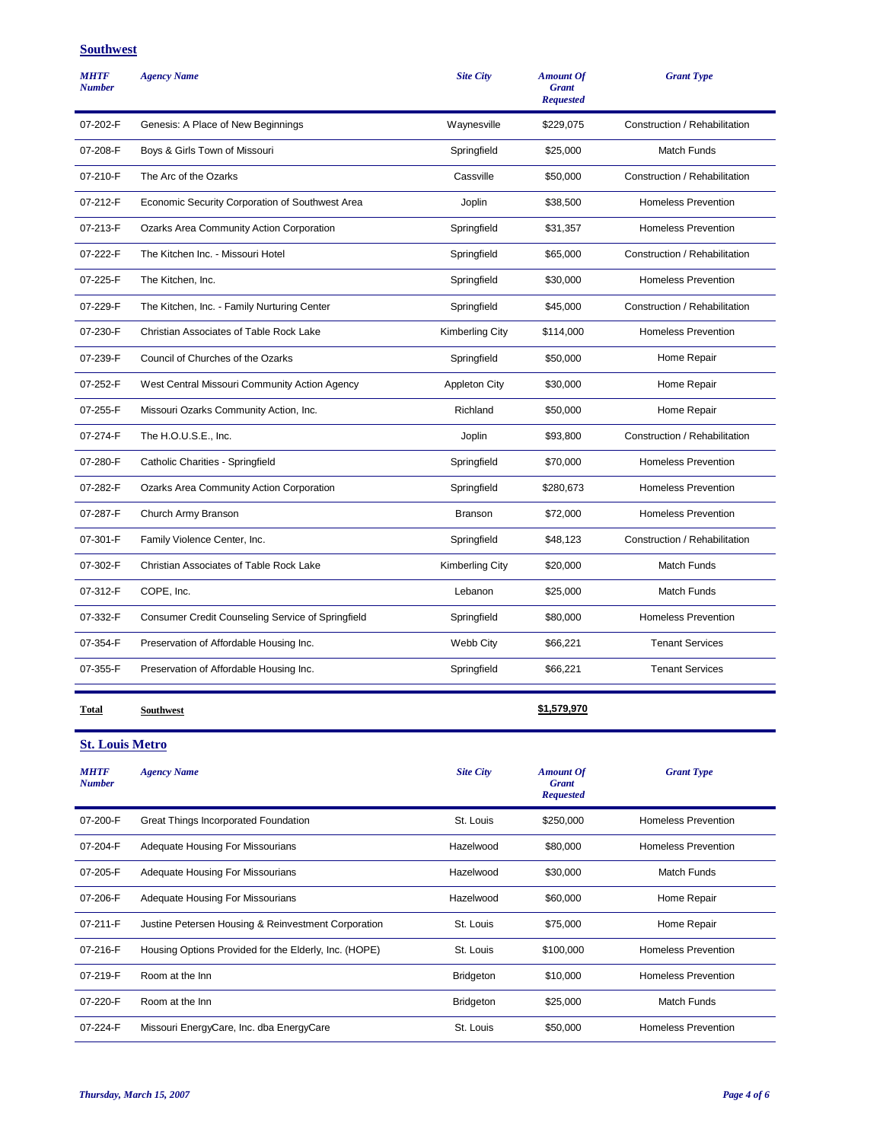#### **Southwest**

| <b>MHTF</b><br><b>Number</b> | <b>Agency Name</b>                                | <b>Site City</b>       | <b>Amount Of</b><br><b>Grant</b><br><b>Requested</b> | <b>Grant Type</b>             |
|------------------------------|---------------------------------------------------|------------------------|------------------------------------------------------|-------------------------------|
| 07-202-F                     | Genesis: A Place of New Beginnings                | Waynesville            | \$229,075                                            | Construction / Rehabilitation |
| 07-208-F                     | Boys & Girls Town of Missouri                     | Springfield            | \$25,000                                             | Match Funds                   |
| 07-210-F                     | The Arc of the Ozarks                             | Cassville              | \$50,000                                             | Construction / Rehabilitation |
| 07-212-F                     | Economic Security Corporation of Southwest Area   | Joplin                 | \$38,500                                             | <b>Homeless Prevention</b>    |
| 07-213-F                     | Ozarks Area Community Action Corporation          | Springfield            | \$31,357                                             | <b>Homeless Prevention</b>    |
| 07-222-F                     | The Kitchen Inc. - Missouri Hotel                 | Springfield            | \$65,000                                             | Construction / Rehabilitation |
| 07-225-F                     | The Kitchen, Inc.                                 | Springfield            | \$30,000                                             | <b>Homeless Prevention</b>    |
| 07-229-F                     | The Kitchen, Inc. - Family Nurturing Center       | Springfield            | \$45,000                                             | Construction / Rehabilitation |
| 07-230-F                     | Christian Associates of Table Rock Lake           | <b>Kimberling City</b> | \$114,000                                            | <b>Homeless Prevention</b>    |
| 07-239-F                     | Council of Churches of the Ozarks                 | Springfield            | \$50,000                                             | Home Repair                   |
| 07-252-F                     | West Central Missouri Community Action Agency     | <b>Appleton City</b>   | \$30,000                                             | Home Repair                   |
| 07-255-F                     | Missouri Ozarks Community Action, Inc.            | Richland               | \$50,000                                             | Home Repair                   |
| 07-274-F                     | The H.O.U.S.E., Inc.                              | Joplin                 | \$93,800                                             | Construction / Rehabilitation |
| 07-280-F                     | Catholic Charities - Springfield                  | Springfield            | \$70,000                                             | <b>Homeless Prevention</b>    |
| 07-282-F                     | Ozarks Area Community Action Corporation          | Springfield            | \$280,673                                            | <b>Homeless Prevention</b>    |
| 07-287-F                     | Church Army Branson                               | <b>Branson</b>         | \$72,000                                             | <b>Homeless Prevention</b>    |
| 07-301-F                     | Family Violence Center, Inc.                      | Springfield            | \$48,123                                             | Construction / Rehabilitation |
| 07-302-F                     | Christian Associates of Table Rock Lake           | <b>Kimberling City</b> | \$20,000                                             | Match Funds                   |
| 07-312-F                     | COPE, Inc.                                        | Lebanon                | \$25,000                                             | Match Funds                   |
| 07-332-F                     | Consumer Credit Counseling Service of Springfield | Springfield            | \$80,000                                             | <b>Homeless Prevention</b>    |
| 07-354-F                     | Preservation of Affordable Housing Inc.           | Webb City              | \$66,221                                             | <b>Tenant Services</b>        |
| 07-355-F                     | Preservation of Affordable Housing Inc.           | Springfield            | \$66,221                                             | <b>Tenant Services</b>        |
| Total                        | Southwest                                         |                        | \$1,579,970                                          |                               |
| <b>St. Louis Metro</b>       |                                                   |                        |                                                      |                               |
| <b>MHTF</b><br><b>Number</b> | <b>Agency Name</b>                                | <b>Site City</b>       | <b>Amount Of</b><br><b>Grant</b><br><b>Requested</b> | <b>Grant Type</b>             |
| 07-200-F                     | Great Things Incorporated Foundation              | St. Louis              | \$250,000                                            | <b>Homeless Prevention</b>    |
| ם גמפידר                     |                                                   |                        | 000000                                               | ومملوموا ا<br>D-              |

| <b>MHTF</b><br><b>Number</b> | <b>Agency Name</b>                                    | <b>Site City</b> | <b>Amount Of</b><br><b>Grant</b><br><b>Requested</b> | <b>Grant Type</b>          |
|------------------------------|-------------------------------------------------------|------------------|------------------------------------------------------|----------------------------|
| 07-200-F                     | Great Things Incorporated Foundation                  | St. Louis        | \$250,000                                            | <b>Homeless Prevention</b> |
| 07-204-F                     | <b>Adequate Housing For Missourians</b>               | Hazelwood        | \$80,000                                             | Homeless Prevention        |
| 07-205-F                     | Adequate Housing For Missourians                      | Hazelwood        | \$30,000                                             | <b>Match Funds</b>         |
| 07-206-F                     | <b>Adequate Housing For Missourians</b>               | Hazelwood        | \$60,000                                             | Home Repair                |
| 07-211-F                     | Justine Petersen Housing & Reinvestment Corporation   | St. Louis        | \$75,000                                             | Home Repair                |
| 07-216-F                     | Housing Options Provided for the Elderly, Inc. (HOPE) | St. Louis        | \$100,000                                            | <b>Homeless Prevention</b> |
| 07-219-F                     | Room at the Inn                                       | <b>Bridgeton</b> | \$10,000                                             | <b>Homeless Prevention</b> |
| 07-220-F                     | Room at the Inn                                       | <b>Bridgeton</b> | \$25,000                                             | <b>Match Funds</b>         |
| 07-224-F                     | Missouri EnergyCare, Inc. dba EnergyCare              | St. Louis        | \$50,000                                             | <b>Homeless Prevention</b> |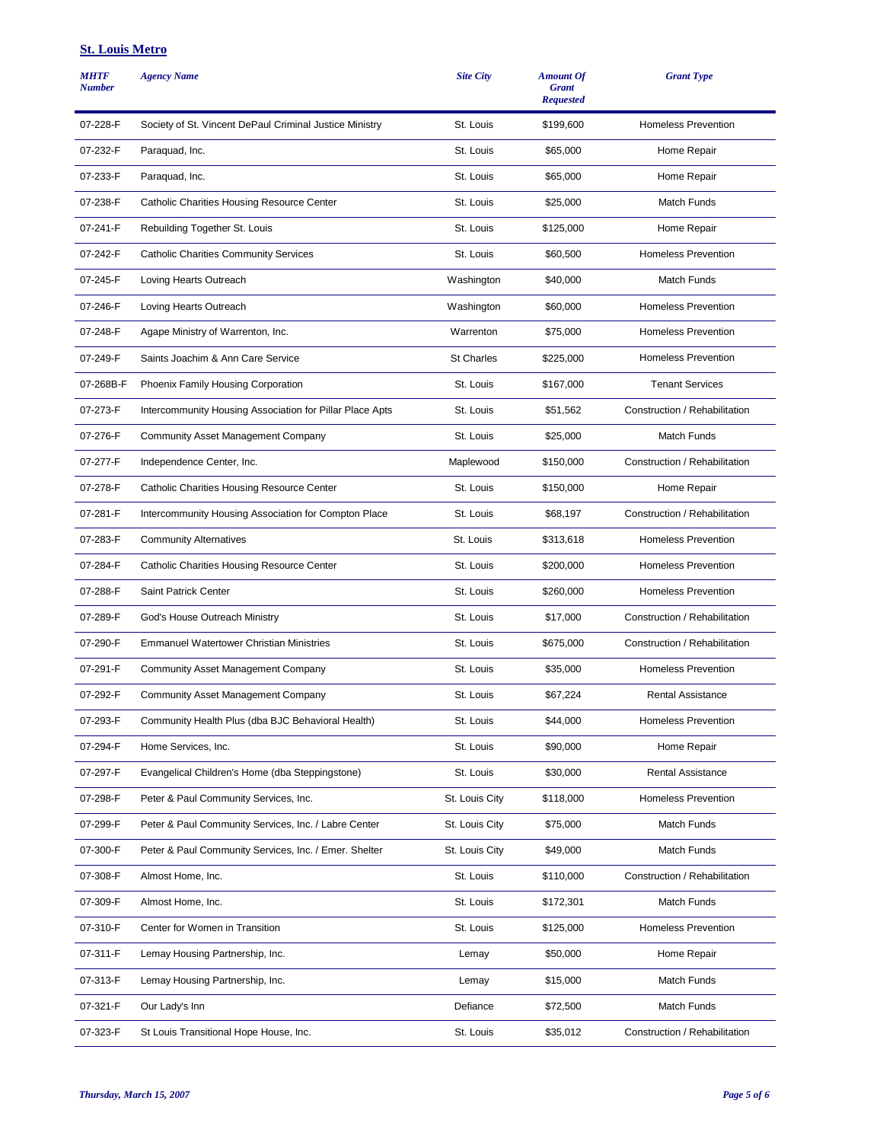#### **St. Louis Metro**

| <b>MHTF</b><br><b>Number</b> | <b>Agency Name</b>                                       | <b>Site City</b>  | <b>Amount Of</b><br><b>Grant</b><br><b>Requested</b> | <b>Grant Type</b>             |
|------------------------------|----------------------------------------------------------|-------------------|------------------------------------------------------|-------------------------------|
| 07-228-F                     | Society of St. Vincent DePaul Criminal Justice Ministry  | St. Louis         | \$199,600                                            | <b>Homeless Prevention</b>    |
| 07-232-F                     | Paraquad, Inc.                                           | St. Louis         | \$65,000                                             | Home Repair                   |
| 07-233-F                     | Paraquad, Inc.                                           | St. Louis         | \$65,000                                             | Home Repair                   |
| 07-238-F                     | Catholic Charities Housing Resource Center               | St. Louis         | \$25,000                                             | <b>Match Funds</b>            |
| 07-241-F                     | Rebuilding Together St. Louis                            | St. Louis         | \$125,000                                            | Home Repair                   |
| 07-242-F                     | <b>Catholic Charities Community Services</b>             | St. Louis         | \$60,500                                             | <b>Homeless Prevention</b>    |
| 07-245-F                     | Loving Hearts Outreach                                   | Washington        | \$40,000                                             | Match Funds                   |
| 07-246-F                     | Loving Hearts Outreach                                   | Washington        | \$60,000                                             | <b>Homeless Prevention</b>    |
| 07-248-F                     | Agape Ministry of Warrenton, Inc.                        | Warrenton         | \$75,000                                             | <b>Homeless Prevention</b>    |
| 07-249-F                     | Saints Joachim & Ann Care Service                        | <b>St Charles</b> | \$225,000                                            | <b>Homeless Prevention</b>    |
| 07-268B-F                    | Phoenix Family Housing Corporation                       | St. Louis         | \$167,000                                            | <b>Tenant Services</b>        |
| 07-273-F                     | Intercommunity Housing Association for Pillar Place Apts | St. Louis         | \$51,562                                             | Construction / Rehabilitation |
| 07-276-F                     | <b>Community Asset Management Company</b>                | St. Louis         | \$25,000                                             | Match Funds                   |
| 07-277-F                     | Independence Center, Inc.                                | Maplewood         | \$150,000                                            | Construction / Rehabilitation |
| 07-278-F                     | Catholic Charities Housing Resource Center               | St. Louis         | \$150,000                                            | Home Repair                   |
| 07-281-F                     | Intercommunity Housing Association for Compton Place     | St. Louis         | \$68,197                                             | Construction / Rehabilitation |
| 07-283-F                     | <b>Community Alternatives</b>                            | St. Louis         | \$313,618                                            | <b>Homeless Prevention</b>    |
| 07-284-F                     | Catholic Charities Housing Resource Center               | St. Louis         | \$200,000                                            | <b>Homeless Prevention</b>    |
| 07-288-F                     | Saint Patrick Center                                     | St. Louis         | \$260,000                                            | <b>Homeless Prevention</b>    |
| 07-289-F                     | God's House Outreach Ministry                            | St. Louis         | \$17,000                                             | Construction / Rehabilitation |
| 07-290-F                     | <b>Emmanuel Watertower Christian Ministries</b>          | St. Louis         | \$675,000                                            | Construction / Rehabilitation |
| 07-291-F                     | <b>Community Asset Management Company</b>                | St. Louis         | \$35,000                                             | <b>Homeless Prevention</b>    |
| 07-292-F                     | <b>Community Asset Management Company</b>                | St. Louis         | \$67,224                                             | <b>Rental Assistance</b>      |
| 07-293-F                     | Community Health Plus (dba BJC Behavioral Health)        | St. Louis         | \$44,000                                             | <b>Homeless Prevention</b>    |
| 07-294-F                     | Home Services, Inc.                                      | St. Louis         | \$90,000                                             | Home Repair                   |
| 07-297-F                     | Evangelical Children's Home (dba Steppingstone)          | St. Louis         | \$30,000                                             | Rental Assistance             |
| 07-298-F                     | Peter & Paul Community Services, Inc.                    | St. Louis City    | \$118,000                                            | <b>Homeless Prevention</b>    |
| 07-299-F                     | Peter & Paul Community Services, Inc. / Labre Center     | St. Louis City    | \$75,000                                             | Match Funds                   |
| 07-300-F                     | Peter & Paul Community Services, Inc. / Emer. Shelter    | St. Louis City    | \$49,000                                             | Match Funds                   |
| 07-308-F                     | Almost Home, Inc.                                        | St. Louis         | \$110,000                                            | Construction / Rehabilitation |
| 07-309-F                     | Almost Home, Inc.                                        | St. Louis         | \$172,301                                            | Match Funds                   |
| 07-310-F                     | Center for Women in Transition                           | St. Louis         | \$125,000                                            | <b>Homeless Prevention</b>    |
| 07-311-F                     | Lemay Housing Partnership, Inc.                          | Lemay             | \$50,000                                             | Home Repair                   |
| 07-313-F                     | Lemay Housing Partnership, Inc.                          | Lemay             | \$15,000                                             | Match Funds                   |
| 07-321-F                     | Our Lady's Inn                                           | Defiance          | \$72,500                                             | Match Funds                   |
| 07-323-F                     | St Louis Transitional Hope House, Inc.                   | St. Louis         | \$35,012                                             | Construction / Rehabilitation |